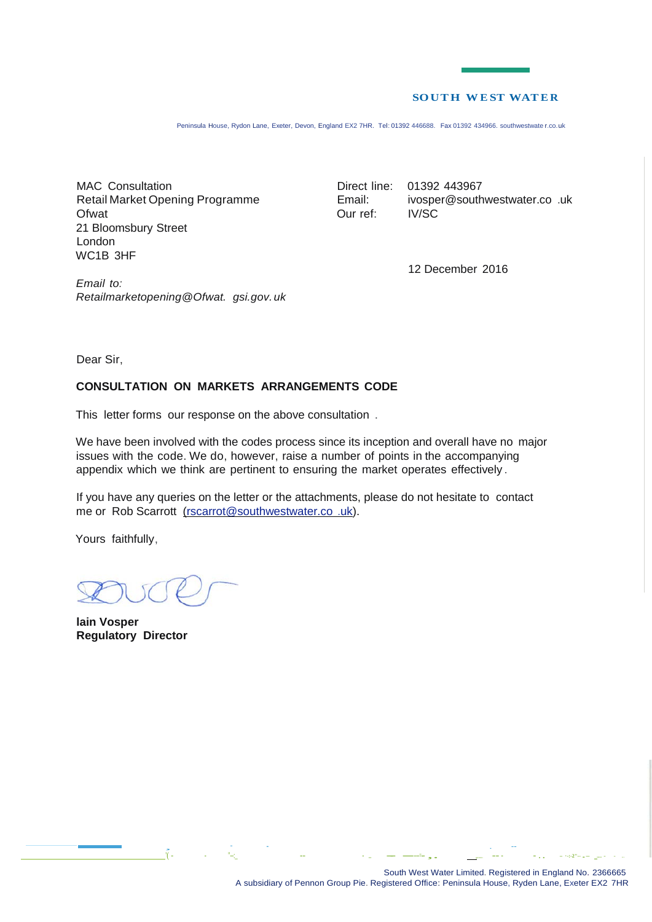#### **SOUTH WE ST WATE R**

Peninsula House, Rydon Lane, Exeter, Devon, England EX2 7HR. Tel: 01392 446688. Fax 01392 434966. southwestwate r.co.uk

MAC Consultation Retail Market Opening Programme Ofwat 21 Bloomsbury Street London WC1B 3HF

Direct line: 01392 443967 Email: Our ref: [ivosper@southwestwater.co](mailto:ivosper@southwestwater.co) .uk IV/SC

12 December 2016

*Retailmarketopening@Ofwat. gsi.gov.uk*

Dear Sir,

*Email to:*

## **CONSULTATION ON MARKETS ARRANGEMENTS CODE**

This letter forms our response on the above consultation .

We have been involved with the codes process since its inception and overall have no major issues with the code. We do, however, raise a number of points in the accompanying appendix which we think are pertinent to ensuring the market operates effectively .

If you have any queries on the letter or the attachments, please do not hesitate to contact me or Rob Scarrott [\(rscarrot@southwestwater.co](mailto:(rscarrot@southwestwater.co) .uk).

Yours faithfully,

**lain Vosper Regulatory Director**

'( - - "--:\_ -- - .... -- -----=- ,. ,...... -- - - . . **- ·-:-2"-- .- ..... -** - ...

, which is a set of the contract of the contract of the contract of the contract of the contract of the contract of the contract of the contract of the contract of the contract of the contract of the contract of the contr